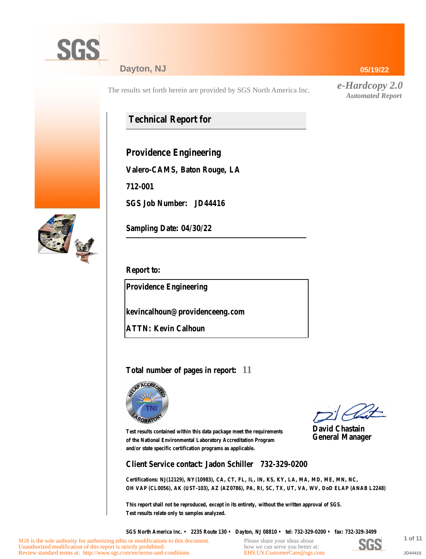

## **Dayton, NJ**

The results set forth herein are provided by SGS North America Inc.

# **Technical Report for**

**Providence Engineering**

**Valero-CAMS, Baton Rouge, LA**

**712-001**

**SGS Job Number: JD44416**



**Sampling Date: 04/30/22**

**Report to:**

**Providence Engineering**

**kevincalhoun@providenceeng.com**

**ATTN: Kevin Calhoun**

## **Total number of pages in report: 11**



**David Chastain General Manager**

**Test results contained within this data package meet the requirements of the National Environmental Laboratory Accreditation Program and/or state specific certification programs as applicable.**

**Client Service contact: Jadon Schiller 732-329-0200**

**Certifications: NJ(12129), NY(10983), CA, CT, FL, IL, IN, KS, KY, LA, MA, MD, ME, MN, NC, OH VAP (CL0056), AK (UST-103), AZ (AZ0786), PA, RI, SC, TX, UT, VA, WV, DoD ELAP (ANAB L2248)**

**This report shall not be reproduced, except in its entirety, without the written approval of SGS. Test results relate only to samples analyzed.**

**SGS North America Inc. • 2235 Route 130 • Dayton, NJ 08810 • tel: 732-329-0200 • fax: 732-329-3499**

Please share your ideas about how we can serve you better at: [EHS.US.CustomerCare@sgs.com](mailto:EHS.US.CustomerCare@sgs.com?subject=Customer care improvement idea (report JD44416))



**1 of 11 JD44416**

### **05/19/22**

*e-Hardcopy 2.0 Automated Report*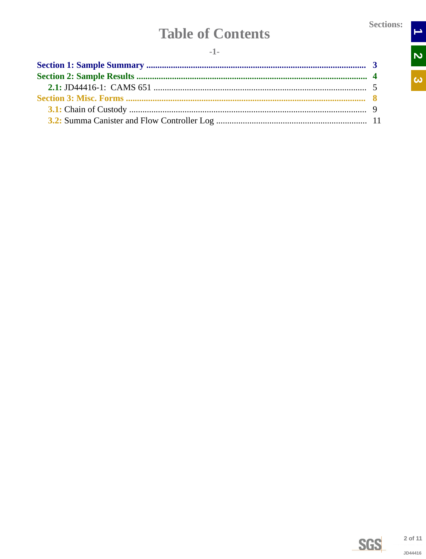$\begin{array}{c|c|c|c} \hline \textbf{1} & \textbf{2} & \textbf{1} \end{array}$ 

 $\overline{\omega}$ 

# **Table of Contents**

<span id="page-1-0"></span>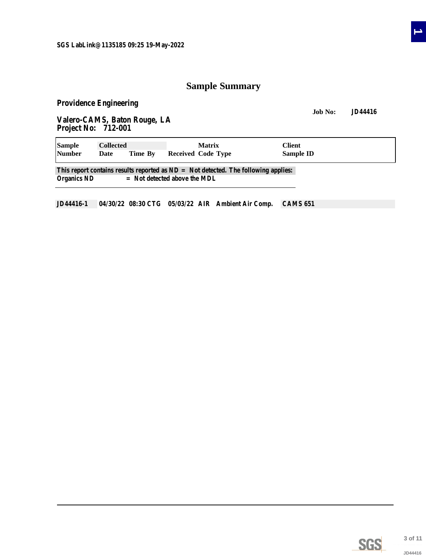## **Sample Summary**

<span id="page-2-0"></span>**Providence Engineering**

**Job No: JD44416 Valero-CAMS, Baton Rouge, LA Project No: 712-001**

| <b>Sample</b>      | <b>Collected</b> |                                | <b>Matrix</b>                                                                        | Client    |  |
|--------------------|------------------|--------------------------------|--------------------------------------------------------------------------------------|-----------|--|
| <b>Number</b>      | Date             | Time By                        | Received Code Type                                                                   | Sample ID |  |
| <b>Organics ND</b> |                  | $=$ Not detected above the MDL | This report contains results reported as $ND = Not$ detected. The following applies: |           |  |

**JD44416-1 04/30/22 08:30 CTG 05/03/22 AIR Ambient Air Comp. CAMS 651**

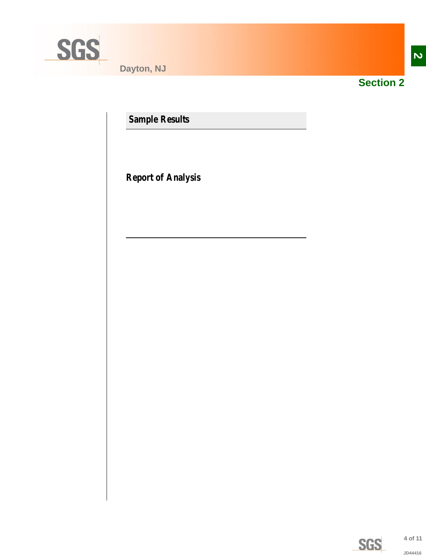<span id="page-3-0"></span>

**Dayton, NJ**



**Section 2**

**Sample Results**

**Report of Analysis**

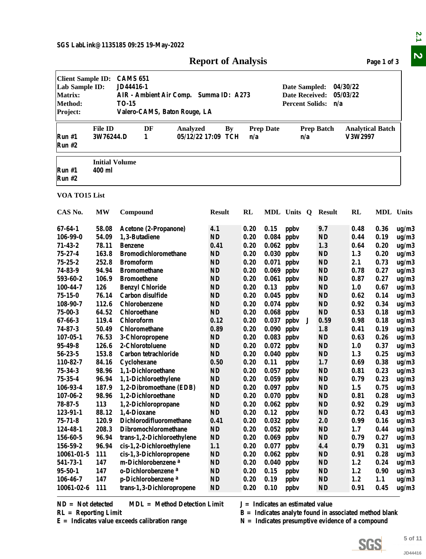|                                                                              | <b>Report of Analysis</b>                    |         |                                                                        |                                                               |                         |                          |                                    |  |  |  |  |  |
|------------------------------------------------------------------------------|----------------------------------------------|---------|------------------------------------------------------------------------|---------------------------------------------------------------|-------------------------|--------------------------|------------------------------------|--|--|--|--|--|
| <b>Client Sample ID:</b><br>Lab Sample ID:<br>Matrix:<br>Method:<br>Project: | <b>CAMS 651</b><br>JD44416-1<br><b>TO-15</b> |         | AIR - Ambient Air Comp. Summa ID: A273<br>Valero-CAMS, Baton Rouge, LA | Date Sampled:<br><b>Date Received:</b><br>Percent Solids: n/a | 04/30/22<br>05/03/22    |                          |                                    |  |  |  |  |  |
| Run#1<br>Run#2                                                               | <b>File ID</b><br>3W76244.D                  | DF<br>1 | Analyzed<br>05/12/22 17:09 TCH                                         | By                                                            | <b>Prep Date</b><br>n/a | <b>Prep Batch</b><br>n/a | <b>Analytical Batch</b><br>V3W2997 |  |  |  |  |  |
| Run#1<br>Run#2                                                               | <b>Initial Volume</b><br>400 ml              |         |                                                                        |                                                               |                         |                          |                                    |  |  |  |  |  |
| VOA TO15 List                                                                |                                              |         |                                                                        |                                                               |                         |                          |                                    |  |  |  |  |  |

<span id="page-4-0"></span>

|                                                                                            |                                 |                                                                                                                        | <b>Report of Analysis</b>       |              |                  |                                                                  |   |                        |                                                                                                                | Page 1 of 3  |                |
|--------------------------------------------------------------------------------------------|---------------------------------|------------------------------------------------------------------------------------------------------------------------|---------------------------------|--------------|------------------|------------------------------------------------------------------|---|------------------------|----------------------------------------------------------------------------------------------------------------|--------------|----------------|
| <b>Client Sample ID:</b><br>Lab Sample ID:<br><b>Matrix:</b><br><b>Method:</b><br>Project: |                                 | <b>CAMS 651</b><br>JD44416-1<br>AIR - Ambient Air Comp. Summa ID: A273<br><b>TO-15</b><br>Valero-CAMS, Baton Rouge, LA |                                 |              |                  | Date Sampled:<br><b>Date Received:</b><br><b>Percent Solids:</b> |   | n/a                    | 04/30/22<br>05/03/22                                                                                           |              |                |
| Run #1<br>Run #2                                                                           | <b>File ID</b><br>3W76244.D     | DF<br>Analyzed<br>1                                                                                                    | <b>By</b><br>05/12/22 17:09 TCH | n/a          | <b>Prep Date</b> | n/a                                                              |   | <b>Prep Batch</b>      | <b>Analytical Batch</b><br>V3W2997                                                                             |              |                |
| Run #1<br><b>Run #2</b>                                                                    | <b>Initial Volume</b><br>400 ml |                                                                                                                        |                                 |              |                  |                                                                  |   |                        |                                                                                                                |              |                |
| VOA TO15 List                                                                              |                                 |                                                                                                                        |                                 |              |                  |                                                                  |   |                        |                                                                                                                |              |                |
| CAS No.                                                                                    | <b>MW</b>                       | Compound                                                                                                               | <b>Result</b>                   | RL           |                  | MDL Units Q Result                                               |   |                        | RL                                                                                                             | MDL Units    |                |
| 67-64-1                                                                                    | 58.08                           | Acetone (2-Propanone)                                                                                                  | 4.1                             | 0.20         | 0.15             | ppby                                                             |   | 9.7                    | 0.48                                                                                                           | 0.36         | ug/m3          |
| 106-99-0                                                                                   | 54.09                           | 1,3-Butadiene                                                                                                          | <b>ND</b>                       | 0.20         | 0.084            | ppby                                                             |   | <b>ND</b>              | 0.44                                                                                                           | 0.19         | ug/m3          |
| $71 - 43 - 2$                                                                              | 78.11                           | <b>Benzene</b>                                                                                                         | 0.41                            | 0.20         | 0.062            | ppby                                                             |   | 1.3                    | 0.64                                                                                                           | 0.20         | ug/m3          |
| 75-27-4                                                                                    | 163.8                           | <b>Bromodichloromethane</b>                                                                                            | <b>ND</b>                       | 0.20         | 0.030            | ppby                                                             |   | <b>ND</b>              | 1.3                                                                                                            | 0.20         | ug/m3          |
| $75 - 25 - 2$                                                                              | 252.8                           | <b>Bromoform</b>                                                                                                       | <b>ND</b>                       | 0.20         | 0.071            | ppby                                                             |   | <b>ND</b>              | 2.1                                                                                                            | 0.73         | ug/m3          |
| 74-83-9                                                                                    | 94.94                           | <b>Bromomethane</b>                                                                                                    | <b>ND</b>                       | 0.20         | 0.069            | ppby                                                             |   | <b>ND</b>              | 0.78                                                                                                           | 0.27         | ug/m3          |
| 593-60-2                                                                                   | 106.9                           | <b>Bromoethene</b>                                                                                                     | <b>ND</b>                       | 0.20         |                  | $0.061$ ppbv                                                     |   | <b>ND</b>              | 0.87                                                                                                           | 0.27         | ug/m3          |
| 100-44-7                                                                                   | 126                             | <b>Benzyl Chloride</b>                                                                                                 | <b>ND</b>                       | 0.20         | 0.13             | ppby                                                             |   | <b>ND</b>              | 1.0                                                                                                            | 0.67         | ug/m3          |
| 75-15-0                                                                                    | 76.14                           | Carbon disulfide                                                                                                       | <b>ND</b>                       | 0.20         |                  | $0.045$ ppbv                                                     |   | <b>ND</b>              | 0.62                                                                                                           | 0.14         | ug/m3          |
| 108-90-7                                                                                   | 112.6                           | Chlorobenzene                                                                                                          | <b>ND</b>                       | 0.20         |                  | $0.074$ ppbv                                                     |   | <b>ND</b>              | 0.92                                                                                                           | 0.34         | ug/m3          |
| $75 - 00 - 3$                                                                              | 64.52                           | <b>Chloroethane</b>                                                                                                    | ND                              | 0.20         | 0.068            | ppby                                                             |   | <b>ND</b>              | 0.53                                                                                                           | 0.18         | ug/m3          |
| $67 - 66 - 3$                                                                              | 119.4                           | Chloroform                                                                                                             | 0.12                            | 0.20         | 0.037            | ppby                                                             | J | 0.59                   | 0.98                                                                                                           | 0.18         | ug/m3          |
| $74 - 87 - 3$                                                                              | 50.49                           | Chloromethane                                                                                                          | 0.89                            | 0.20         | 0.090            | ppby                                                             |   | 1.8                    | 0.41                                                                                                           | 0.19         | ug/m3          |
| $107 - 05 - 1$                                                                             | 76.53                           | 3-Chloropropene                                                                                                        | <b>ND</b>                       | 0.20         | 0.083            | ppby                                                             |   | <b>ND</b>              | 0.63                                                                                                           | 0.26         | ug/m3          |
| 95-49-8                                                                                    | 126.6                           | 2-Chlorotoluene                                                                                                        | <b>ND</b>                       | 0.20         | 0.072            | ppby                                                             |   | <b>ND</b>              | 1.0                                                                                                            | 0.37         | ug/m3          |
| $56 - 23 - 5$                                                                              | 153.8                           | Carbon tetrachloride                                                                                                   | <b>ND</b>                       | 0.20         |                  | $0.040$ ppbv                                                     |   | <b>ND</b>              | 1.3                                                                                                            | 0.25         | ug/m3          |
| 110-82-7                                                                                   | 84.16                           | Cyclohexane                                                                                                            | 0.50                            | 0.20         | 0.11             | ppby                                                             |   | 1.7                    | 0.69                                                                                                           | 0.38         | ug/m3          |
| 75-34-3<br>$75 - 35 - 4$                                                                   | 98.96                           | 1,1-Dichloroethane                                                                                                     | <b>ND</b><br>$\mathbf{ND}$      | 0.20         |                  | $0.057$ ppbv                                                     |   | <b>ND</b><br><b>ND</b> | 0.81                                                                                                           | 0.23         | ug/m3          |
| 106-93-4                                                                                   | 96.94<br>187.9                  | 1,1-Dichloroethylene<br>1,2-Dibromoethane (EDB)                                                                        | <b>ND</b>                       | 0.20<br>0.20 |                  | $0.059$ ppbv                                                     |   | <b>ND</b>              | 0.79<br>1.5                                                                                                    | 0.23<br>0.75 | ug/m3<br>ug/m3 |
| $107 - 06 - 2$                                                                             | 98.96                           | 1,2-Dichloroethane                                                                                                     | <b>ND</b>                       | 0.20         |                  | $0.097$ ppbv<br>$0.070$ ppbv                                     |   | <b>ND</b>              | 0.81                                                                                                           | 0.28         | ug/m3          |
| $78 - 87 - 5$                                                                              | 113                             | 1,2-Dichloropropane                                                                                                    | <b>ND</b>                       | 0.20         | $0.062$ ppbv     |                                                                  |   | <b>ND</b>              | 0.92                                                                                                           | 0.29         | ug/m3          |
| 123-91-1                                                                                   | 88.12                           | 1,4-Dioxane                                                                                                            | <b>ND</b>                       | 0.20         | 0.12             | ppby                                                             |   | <b>ND</b>              | 0.72                                                                                                           | 0.43         | ug/m3          |
| $75 - 71 - 8$                                                                              | 120.9                           | Dichlorodifluoromethane                                                                                                | 0.41                            | 0.20         |                  | $0.032$ ppbv                                                     |   | 2.0                    | 0.99                                                                                                           | 0.16         | ug/m3          |
| 124-48-1                                                                                   | 208.3                           | Dibromochloromethane                                                                                                   | <b>ND</b>                       | 0.20         |                  | $0.052$ ppbv                                                     |   | <b>ND</b>              | 1.7                                                                                                            | 0.44         | ug/m3          |
| 156-60-5                                                                                   | 96.94                           | trans-1,2-Dichloroethylene                                                                                             | <b>ND</b>                       | 0.20         | 0.069            | ppby                                                             |   | <b>ND</b>              | 0.79                                                                                                           | 0.27         | ug/m3          |
| 156-59-2                                                                                   | 96.94                           | cis-1,2-Dichloroethylene                                                                                               | 1.1                             | 0.20         | 0.077            | ppby                                                             |   | 4.4                    | 0.79                                                                                                           | 0.31         | ug/m3          |
| 10061-01-5                                                                                 | 111                             | cis-1,3-Dichloropropene                                                                                                | <b>ND</b>                       | 0.20         | 0.062            | ppby                                                             |   | <b>ND</b>              | 0.91                                                                                                           | 0.28         | ug/m3          |
| 541-73-1                                                                                   | 147                             | m-Dichlorobenzene <sup>a</sup>                                                                                         | <b>ND</b>                       | 0.20         | 0.040            | ppby                                                             |   | <b>ND</b>              | 1.2                                                                                                            | 0.24         | ug/m3          |
| 95-50-1                                                                                    | 147                             | o-Dichlorobenzene <sup>a</sup>                                                                                         | <b>ND</b>                       | 0.20         | 0.15             | ppby                                                             |   | <b>ND</b>              | 1.2                                                                                                            | 0.90         | ug/m3          |
| 106-46-7                                                                                   | 147                             | p-Dichlorobenzene <sup>a</sup>                                                                                         | <b>ND</b>                       | 0.20         | 0.19             | ppby                                                             |   | <b>ND</b>              | 1.2                                                                                                            | 1.1          | ug/m3          |
| 10061-02-6                                                                                 | 111                             | trans-1,3-Dichloropropene                                                                                              | <b>ND</b>                       | 0.20         | 0.10             | ppby                                                             |   | <b>ND</b>              | 0.91                                                                                                           | 0.45         | ug/m3          |
| $ND = Not detected$<br>$RL =$ Reporting Limit                                              |                                 | <b>MDL</b> = Method Detection Limit<br>$E =$ Indicates value exceeds calibration range                                 |                                 |              |                  | $J = Indicates$ an estimated value                               |   |                        | $B =$ Indicates analyte found in associated method blank<br>$N =$ Indicates presumptive evidence of a compound |              |                |
|                                                                                            |                                 |                                                                                                                        |                                 |              |                  |                                                                  |   |                        |                                                                                                                |              |                |
|                                                                                            |                                 |                                                                                                                        |                                 |              |                  |                                                                  |   |                        | SGS                                                                                                            |              | 5 of 11        |
|                                                                                            |                                 |                                                                                                                        |                                 |              |                  |                                                                  |   |                        |                                                                                                                |              | JD44416        |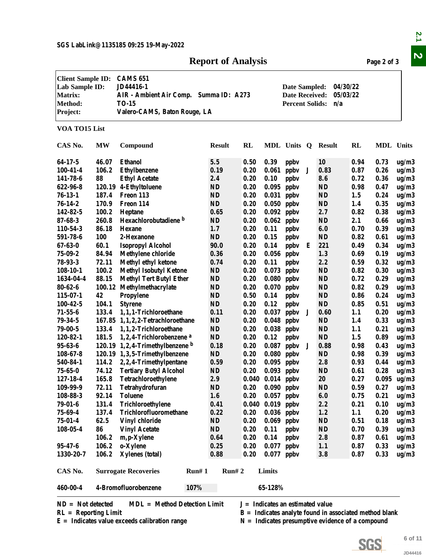## **Report of Analysis** Page 2 of 3

|                                                                                     |           | SGS LabLink@1135185 09:25 19-May-2022                                                                                                                                                                                            | <b>Report of Analysis</b> |                                    |                      |              |   |                                                                                                                |            | Page 2 of 3      |         |  |
|-------------------------------------------------------------------------------------|-----------|----------------------------------------------------------------------------------------------------------------------------------------------------------------------------------------------------------------------------------|---------------------------|------------------------------------|----------------------|--------------|---|----------------------------------------------------------------------------------------------------------------|------------|------------------|---------|--|
| <b>Client Sample ID:</b><br>Lab Sample ID:<br><b>Matrix:</b><br>Method:<br>Project: |           | <b>CAMS 651</b><br><b>JD44416-1</b><br>04/30/22<br>Date Sampled:<br>05/03/22<br>AIR - Ambient Air Comp. Summa ID: A273<br><b>Date Received:</b><br><b>Percent Solids:</b><br><b>TO-15</b><br>n/a<br>Valero-CAMS, Baton Rouge, LA |                           |                                    |                      |              |   |                                                                                                                |            |                  |         |  |
| VOA TO15 List                                                                       |           |                                                                                                                                                                                                                                  |                           |                                    |                      |              |   |                                                                                                                |            |                  |         |  |
| CAS No.                                                                             | <b>MW</b> | Compound                                                                                                                                                                                                                         | <b>Result</b>             | RL                                 |                      | MDL Units Q  |   | <b>Result</b>                                                                                                  | RL         | <b>MDL</b> Units |         |  |
| $64-17-5$                                                                           | 46.07     | <b>Ethanol</b>                                                                                                                                                                                                                   | $5.5\,$                   | 0.50                               | 0.39                 | ppby         |   | <b>10</b>                                                                                                      | 0.94       | 0.73             | ug/m3   |  |
| $100 - 41 - 4$                                                                      | 106.2     | <b>Ethylbenzene</b>                                                                                                                                                                                                              | 0.19                      | 0.20                               | 0.061                | ppby         | J | 0.83                                                                                                           | 0.87       | 0.26             | ug/m3   |  |
| 141-78-6                                                                            | 88        | <b>Ethyl Acetate</b>                                                                                                                                                                                                             | 2.4                       | 0.20                               | 0.10                 | ppby         |   | 8.6                                                                                                            | 0.72       | 0.36             | ug/m3   |  |
| 622-96-8                                                                            |           | 120.19 4-Ethyltoluene                                                                                                                                                                                                            | ND                        | 0.20                               | 0.095                | ppby         |   | <b>ND</b>                                                                                                      | 0.98       | 0.47             | ug/m3   |  |
| $76-13-1$                                                                           | 187.4     | Freon 113                                                                                                                                                                                                                        | <b>ND</b>                 | 0.20                               | 0.031                | ppby         |   | <b>ND</b>                                                                                                      | 1.5        | 0.24             | ug/m3   |  |
| $76 - 14 - 2$                                                                       | 170.9     | Freon 114                                                                                                                                                                                                                        | <b>ND</b>                 | 0.20                               | 0.050                | ppby         |   | <b>ND</b>                                                                                                      | 1.4        | 0.35             | ug/m3   |  |
| 142-82-5                                                                            | 100.2     | Heptane                                                                                                                                                                                                                          | 0.65                      | 0.20                               | 0.092                | ppby         |   | 2.7                                                                                                            | 0.82       | 0.38             | ug/m3   |  |
| $87 - 68 - 3$                                                                       | 260.8     | Hexachlorobutadiene b                                                                                                                                                                                                            | ND                        | 0.20                               | 0.062                | ppby         |   | <b>ND</b>                                                                                                      | 2.1        | 0.66             | ug/m3   |  |
| 110-54-3                                                                            | 86.18     | <b>Hexane</b>                                                                                                                                                                                                                    | 1.7                       | 0.20                               | 0.11                 | ppby         |   | 6.0                                                                                                            | 0.70       | 0.39             | ug/m3   |  |
| 591-78-6                                                                            | 100       | 2-Hexanone                                                                                                                                                                                                                       | $\mathbf{N}\mathbf{D}$    | 0.20                               | 0.15                 | ppby         |   | <b>ND</b>                                                                                                      | 0.82       | 0.61             | ug/m3   |  |
| $67 - 63 - 0$                                                                       | 60.1      | <b>Isopropyl Alcohol</b>                                                                                                                                                                                                         | 90.0                      | 0.20                               | 0.14                 | ppby         | Е | 221                                                                                                            | 0.49       | 0.34             | ug/m3   |  |
| $75 - 09 - 2$                                                                       | 84.94     | <b>Methylene chloride</b>                                                                                                                                                                                                        | 0.36                      | 0.20                               | 0.056                | ppby         |   | 1.3                                                                                                            | 0.69       | 0.19             | ug/m3   |  |
| 78-93-3                                                                             | 72.11     | <b>Methyl ethyl ketone</b>                                                                                                                                                                                                       | 0.74                      | 0.20                               | 0.11                 | ppby         |   | 2.2                                                                                                            | 0.59       | 0.32             |         |  |
|                                                                                     | 100.2     |                                                                                                                                                                                                                                  | ND                        | 0.20                               | 0.073                |              |   | <b>ND</b>                                                                                                      | 0.82       | 0.30             | ug/m3   |  |
| $108-10-1$                                                                          |           | <b>Methyl Isobutyl Ketone</b>                                                                                                                                                                                                    |                           |                                    |                      | ppby         |   |                                                                                                                |            |                  | ug/m3   |  |
| 1634-04-4                                                                           | 88.15     | <b>Methyl Tert Butyl Ether</b>                                                                                                                                                                                                   | ND                        | 0.20                               | 0.080                | ppby         |   | <b>ND</b>                                                                                                      | 0.72       | 0.29             | ug/m3   |  |
| $80 - 62 - 6$                                                                       | 100.12    | Methylmethacrylate                                                                                                                                                                                                               | ND                        | 0.20                               | 0.070                | ppby         |   | <b>ND</b>                                                                                                      | 0.82       | 0.29             | ug/m3   |  |
| $115 - 07 - 1$                                                                      | 42        | Propylene                                                                                                                                                                                                                        | ND                        | 0.50                               | 0.14                 | ppby         |   | <b>ND</b>                                                                                                      | 0.86       | 0.24             | ug/m3   |  |
| $100 - 42 - 5$                                                                      | 104.1     | <b>Styrene</b>                                                                                                                                                                                                                   | <b>ND</b>                 | 0.20                               | 0.12                 | ppby         |   | <b>ND</b>                                                                                                      | 0.85       | 0.51             | ug/m3   |  |
| $71 - 55 - 6$                                                                       | 133.4     | 1,1,1-Trichloroethane                                                                                                                                                                                                            | 0.11                      | 0.20                               | 0.037                | ppbv         | J | 0.60                                                                                                           | 1.1        | 0.20             | ug/m3   |  |
| $79 - 34 - 5$                                                                       |           | 167.85 1,1,2,2-Tetrachloroethane                                                                                                                                                                                                 | <b>ND</b>                 | 0.20                               | 0.048                | ppby         |   | <b>ND</b>                                                                                                      | 1.4        | 0.33             | ug/m3   |  |
| $79 - 00 - 5$                                                                       | 133.4     | 1,1,2-Trichloroethane                                                                                                                                                                                                            | ND                        | 0.20                               | 0.038                | ppby         |   | <b>ND</b>                                                                                                      | 1.1        | 0.21             | ug/m3   |  |
| 120-82-1                                                                            | 181.5     | 1,2,4-Trichlorobenzene <sup>a</sup>                                                                                                                                                                                              | ND                        | 0.20                               | 0.12                 | ppby         |   | <b>ND</b>                                                                                                      | 1.5        | 0.89             | ug/m3   |  |
| $95 - 63 - 6$                                                                       |           | 120.19 1,2,4-Trimethylbenzene b                                                                                                                                                                                                  | 0.18                      | 0.20                               | 0.087                | ppby         | J | 0.88                                                                                                           | 0.98       | 0.43             | ug/m3   |  |
| $108 - 67 - 8$                                                                      |           | 120.19 1,3,5-Trimethylbenzene                                                                                                                                                                                                    | <b>ND</b>                 | 0.20                               |                      | $0.080$ ppbv |   | <b>ND</b>                                                                                                      | 0.98       | 0.39             | ug/m3   |  |
| 540-84-1                                                                            |           | 114.2 2,2,4-Trimethylpentane                                                                                                                                                                                                     | 0.59                      | 0.20                               |                      | $0.095$ ppbv |   | 2.8                                                                                                            | 0.93       | 0.44             | ug/m3   |  |
| $75 - 65 - 0$                                                                       | 74.12     | <b>Tertiary Butyl Alcohol</b>                                                                                                                                                                                                    | ND                        | 0.20                               | $0.093$ ppbv         |              |   | <b>ND</b>                                                                                                      | 0.61       | 0.28             | ug/m3   |  |
| $127 - 18 - 4$                                                                      | 165.8     | Tetrachloroethylene                                                                                                                                                                                                              | $2.9\,$                   | 0.040                              | $0.014$ ppbv         |              |   | 20                                                                                                             | 0.27       | 0.095            | ug/m3   |  |
| 109-99-9                                                                            | 72.11     | Tetrahydrofuran                                                                                                                                                                                                                  | ND                        | 0.20                               | $0.090$ ppbv         |              |   | <b>ND</b>                                                                                                      | 0.59       | 0.27             | ug/m3   |  |
| 108-88-3                                                                            | 92.14     | <b>Toluene</b>                                                                                                                                                                                                                   | 1.6                       | 0.20                               | $0.057$ ppbv         |              |   | 6.0                                                                                                            | 0.75       | 0.21             | ug/m3   |  |
| $79 - 01 - 6$                                                                       | 131.4     | Trichloroethylene                                                                                                                                                                                                                | 0.41                      |                                    | $0.040$ $0.019$ ppbv |              |   | 2.2                                                                                                            | 0.21       | 0.10             | ug/m3   |  |
| 75-69-4                                                                             | 137.4     | Trichlorofluoromethane                                                                                                                                                                                                           | 0.22                      | 0.20                               |                      | $0.036$ ppbv |   | 1.2                                                                                                            | 1.1        | 0.20             | ug/m3   |  |
| $75 - 01 - 4$                                                                       | 62.5      | Vinyl chloride                                                                                                                                                                                                                   | $\mathbf{ND}$             | 0.20                               |                      | $0.069$ ppbv |   | <b>ND</b>                                                                                                      | 0.51       | 0.18             | ug/m3   |  |
| $108 - 05 - 4$                                                                      | 86        | <b>Vinyl Acetate</b>                                                                                                                                                                                                             | ND                        | 0.20                               | 0.11                 | ppby         |   | <b>ND</b>                                                                                                      | 0.70       | 0.39             | ug/m3   |  |
|                                                                                     | 106.2     | m, p-Xylene                                                                                                                                                                                                                      | 0.64                      | 0.20                               | 0.14                 | ppby         |   | 2.8                                                                                                            | 0.87       | 0.61             | ug/m3   |  |
| $95 - 47 - 6$                                                                       | 106.2     | o-Xylene                                                                                                                                                                                                                         | 0.25                      | 0.20                               |                      | $0.077$ ppbv |   | 1.1                                                                                                            | 0.87       | 0.33             | ug/m3   |  |
| 1330-20-7                                                                           | 106.2     | Xylenes (total)                                                                                                                                                                                                                  | 0.88                      | 0.20                               |                      | $0.077$ ppbv |   | 3.8                                                                                                            | 0.87       | 0.33             | ug/m3   |  |
| CAS No.                                                                             |           | <b>Surrogate Recoveries</b><br>Run#1                                                                                                                                                                                             | Run# 2                    |                                    | Limits               |              |   |                                                                                                                |            |                  |         |  |
| 460-00-4                                                                            |           | 4-Bromofluorobenzene<br>107%                                                                                                                                                                                                     |                           |                                    | 65-128%              |              |   |                                                                                                                |            |                  |         |  |
| $ND = Not detected$<br>$RL =$ Reporting Limit                                       |           | $MDL = Method Detection Limit$<br>$E =$ Indicates value exceeds calibration range                                                                                                                                                |                           | $J = Indicates$ an estimated value |                      |              |   | $B =$ Indicates analyte found in associated method blank<br>$N =$ Indicates presumptive evidence of a compound |            |                  |         |  |
|                                                                                     |           |                                                                                                                                                                                                                                  |                           |                                    |                      |              |   |                                                                                                                |            |                  |         |  |
|                                                                                     |           |                                                                                                                                                                                                                                  |                           |                                    |                      |              |   |                                                                                                                |            |                  | 6 of 11 |  |
|                                                                                     |           |                                                                                                                                                                                                                                  |                           |                                    |                      |              |   |                                                                                                                | <b>SGS</b> |                  | JD44416 |  |
|                                                                                     |           |                                                                                                                                                                                                                                  |                           |                                    |                      |              |   |                                                                                                                |            |                  |         |  |



 $\mathbf{z}$ .1  $\overline{\mathbf{v}}$ 



**6 of 11**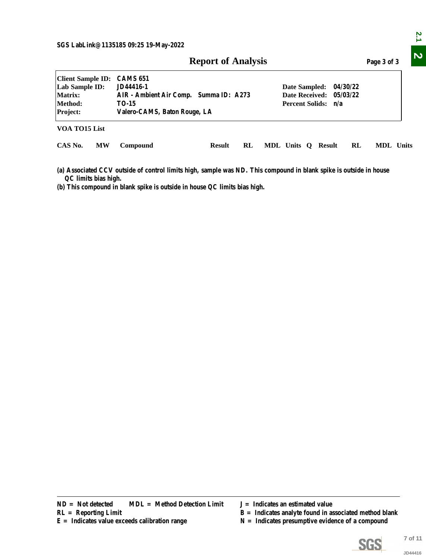|                                                                              |           |                                                                                                                                                                                                                           | <b>Report of Analysis</b> |    |  |                                    |  |  |    | Page 3 of 3                                                                                                    |                    |
|------------------------------------------------------------------------------|-----------|---------------------------------------------------------------------------------------------------------------------------------------------------------------------------------------------------------------------------|---------------------------|----|--|------------------------------------|--|--|----|----------------------------------------------------------------------------------------------------------------|--------------------|
| <b>Client Sample ID:</b><br>Lab Sample ID:<br>Matrix:<br>Method:<br>Project: |           | <b>CAMS 651</b><br>JD44416-1<br>04/30/22<br>Date Sampled:<br><b>Date Received:</b><br>05/03/22<br>AIR - Ambient Air Comp. Summa ID: A273<br><b>Percent Solids:</b><br><b>TO-15</b><br>n/a<br>Valero-CAMS, Baton Rouge, LA |                           |    |  |                                    |  |  |    |                                                                                                                |                    |
| VOA TO15 List                                                                |           |                                                                                                                                                                                                                           |                           |    |  |                                    |  |  |    |                                                                                                                |                    |
| CAS No.                                                                      | <b>MW</b> | Compound                                                                                                                                                                                                                  | <b>Result</b>             | RL |  | MDL Units Q Result                 |  |  | RL | MDL Units                                                                                                      |                    |
| QC limits bias high.                                                         |           | (a) Associated CCV outside of control limits high, sample was ND. This compound in blank spike is outside in house<br>(b) This compound in blank spike is outside in house QC limits bias high.                           |                           |    |  |                                    |  |  |    |                                                                                                                |                    |
|                                                                              |           |                                                                                                                                                                                                                           |                           |    |  |                                    |  |  |    |                                                                                                                |                    |
|                                                                              |           |                                                                                                                                                                                                                           |                           |    |  |                                    |  |  |    |                                                                                                                |                    |
|                                                                              |           |                                                                                                                                                                                                                           |                           |    |  |                                    |  |  |    |                                                                                                                |                    |
|                                                                              |           |                                                                                                                                                                                                                           |                           |    |  |                                    |  |  |    |                                                                                                                |                    |
|                                                                              |           |                                                                                                                                                                                                                           |                           |    |  |                                    |  |  |    |                                                                                                                |                    |
|                                                                              |           |                                                                                                                                                                                                                           |                           |    |  |                                    |  |  |    |                                                                                                                |                    |
|                                                                              |           |                                                                                                                                                                                                                           |                           |    |  |                                    |  |  |    |                                                                                                                |                    |
|                                                                              |           |                                                                                                                                                                                                                           |                           |    |  |                                    |  |  |    |                                                                                                                |                    |
|                                                                              |           |                                                                                                                                                                                                                           |                           |    |  |                                    |  |  |    |                                                                                                                |                    |
|                                                                              |           |                                                                                                                                                                                                                           |                           |    |  |                                    |  |  |    |                                                                                                                |                    |
|                                                                              |           |                                                                                                                                                                                                                           |                           |    |  |                                    |  |  |    |                                                                                                                |                    |
|                                                                              |           |                                                                                                                                                                                                                           |                           |    |  |                                    |  |  |    |                                                                                                                |                    |
| $ND = Not detected$<br>$RL =$ Reporting Limit                                |           | <b>MDL</b> = Method Detection Limit<br>$E =$ Indicates value exceeds calibration range                                                                                                                                    |                           |    |  | $J =$ Indicates an estimated value |  |  |    | $B =$ Indicates analyte found in associated method blank<br>$N =$ Indicates presumptive evidence of a compound |                    |
|                                                                              |           |                                                                                                                                                                                                                           |                           |    |  |                                    |  |  |    | <u>SGS</u>                                                                                                     | 7 of 11<br>JD44416 |

- 
- **R** = Indicates analyte found in associated method blank
- 



2.1

 $\overline{\mathbf{v}}$ 

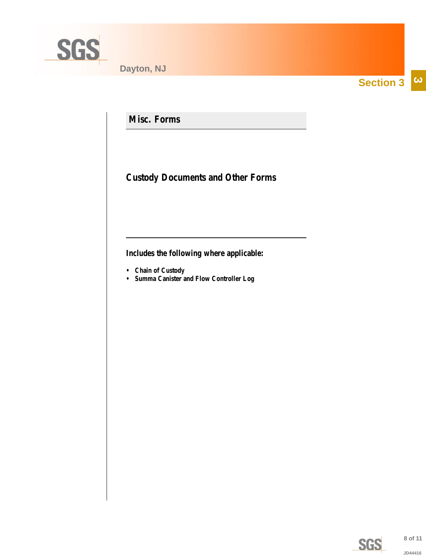<span id="page-7-0"></span>

**Section 3**  $|\boldsymbol{\omega}|$ 

**Misc. Forms**

**Custody Documents and Other Forms**

**Includes the following where applicable:**

- **Chain of Custody**
- **Summa Canister and Flow Controller Log**

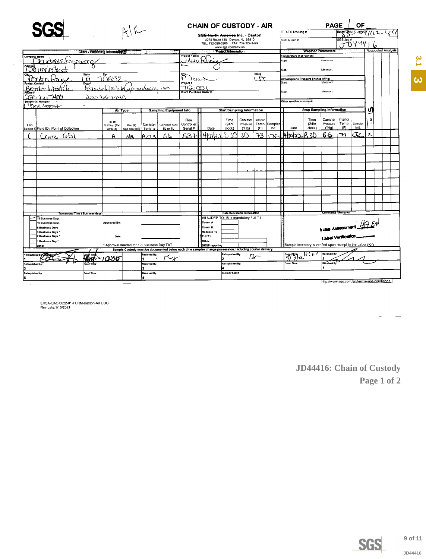<span id="page-8-0"></span>

|                                                              |                                               |                                  |                            |              |                        |                                                                                                          |                                                                        |                                      | <b>CHAIN OF CUSTODY - AIR</b>        |                              |          |                                   |                                                             |                           | <b>PAGE</b>                                | OF<br>BourgerCompter (12 - 164 |                  |                           |  |  |  |
|--------------------------------------------------------------|-----------------------------------------------|----------------------------------|----------------------------|--------------|------------------------|----------------------------------------------------------------------------------------------------------|------------------------------------------------------------------------|--------------------------------------|--------------------------------------|------------------------------|----------|-----------------------------------|-------------------------------------------------------------|---------------------------|--------------------------------------------|--------------------------------|------------------|---------------------------|--|--|--|
|                                                              |                                               |                                  |                            |              |                        |                                                                                                          |                                                                        | SGS North America Inc. Dayton        |                                      |                              |          |                                   | FED-EX Tracking #                                           |                           |                                            |                                |                  |                           |  |  |  |
|                                                              |                                               |                                  |                            |              |                        |                                                                                                          | 2235 Route 130. Davton, NJ 08810<br>TEL. 732-329-0200 FAX 732-329-3499 |                                      |                                      |                              |          |                                   | SGS Quote #                                                 |                           |                                            | SGS Job #<br>JDYYY             |                  |                           |  |  |  |
|                                                              |                                               | Client / Reporting Informations: |                            |              |                        |                                                                                                          | www.sgs.com/ehsusa<br><b>Project Information</b>                       |                                      |                                      |                              |          |                                   |                                                             |                           |                                            |                                |                  | <b>Requested Analysis</b> |  |  |  |
| <b>Company Name</b>                                          |                                               |                                  |                            |              |                        |                                                                                                          | <b>Project Name</b>                                                    |                                      |                                      |                              |          |                                   | Temperature (Fahrenheit)                                    | <b>Weather Parameters</b> |                                            |                                |                  |                           |  |  |  |
|                                                              | MEDECHANCEECO                                 |                                  |                            |              |                        |                                                                                                          | <b>Street</b>                                                          | Kilini                               |                                      |                              |          |                                   | Maximum<br>Start                                            |                           |                                            |                                |                  |                           |  |  |  |
| Addres                                                       |                                               |                                  |                            |              |                        |                                                                                                          |                                                                        |                                      |                                      |                              |          |                                   | Stop                                                        |                           | Minimum                                    |                                |                  |                           |  |  |  |
|                                                              | <b>State</b>                                  |                                  | φ                          |              |                        |                                                                                                          | <b>State</b><br>ᠻ᠊ᡕ                                                    |                                      | Atmoshpheric Pressure (Inches of Hg) |                              |          |                                   |                                                             |                           |                                            |                                |                  |                           |  |  |  |
|                                                              |                                               | $\theta$<br>E-mel                | 70602                      |              |                        |                                                                                                          | Project #                                                              |                                      |                                      |                              |          |                                   | Start:                                                      |                           | Maximum                                    |                                |                  |                           |  |  |  |
|                                                              |                                               |                                  |                            |              | <i>abonderecce com</i> |                                                                                                          | ه چ ۱۱<br><b>Client Purchase Order #</b>                               |                                      |                                      |                              |          |                                   | Stop:                                                       |                           | Minimum:                                   |                                |                  |                           |  |  |  |
|                                                              |                                               | <u>225 166 1446</u>              |                            |              |                        |                                                                                                          |                                                                        |                                      |                                      |                              |          |                                   |                                                             |                           |                                            |                                |                  |                           |  |  |  |
|                                                              | Sempler(s) Name(s)<br>$100 \times 100$        |                                  |                            |              |                        |                                                                                                          |                                                                        |                                      |                                      |                              |          |                                   | Other weather comment:                                      |                           |                                            |                                |                  |                           |  |  |  |
|                                                              |                                               |                                  | Air Type                   |              |                        | <b>Sampling Equipment Info</b>                                                                           |                                                                        |                                      | <b>Start Sampling Information</b>    |                              |          |                                   |                                                             |                           | <b>Stop Sampling Information</b>           |                                |                  |                           |  |  |  |
|                                                              |                                               |                                  |                            |              |                        |                                                                                                          | Flow                                                                   |                                      | Time                                 | Canister                     | Interior |                                   |                                                             | Time                      | Canister                                   | Interior                       |                  | ۰                         |  |  |  |
| Lab                                                          |                                               |                                  | Ind $(1)$<br>Soil Vap (SV) | Res (R)      | Canister               | Canister Size                                                                                            | Controller<br>Serial #                                                 | Date                                 | (24hr<br>clock)                      | Pressure<br>(THq)            | (F)      | Temp Sampler<br>Init.             | Date                                                        | (24hr<br>clock)           | Pressure<br>("Ha)                          | Temp<br>(F)                    | Sampler<br>Init. |                           |  |  |  |
|                                                              | Sample # Field ID / Point of Collection       |                                  | Amb (A)                    | Non-Res (NR) | Serial #               | 6L or 1L                                                                                                 |                                                                        | เ4เทเฉว                              | žΣ                                   | 30                           | 73       |                                   | 1430122                                                     | ن≿∴¢ا                     | 65                                         | ٦١                             | عت               | Χ                         |  |  |  |
|                                                              | ادك هميدا                                     |                                  | А                          | NR           | Az 3                   | ムレ                                                                                                       | 537                                                                    |                                      |                                      |                              |          | ᅶᄾ                                |                                                             |                           |                                            |                                |                  |                           |  |  |  |
|                                                              |                                               |                                  |                            |              |                        |                                                                                                          |                                                                        |                                      |                                      |                              |          |                                   |                                                             |                           |                                            |                                |                  |                           |  |  |  |
|                                                              |                                               |                                  |                            |              |                        |                                                                                                          |                                                                        |                                      |                                      |                              |          |                                   |                                                             |                           |                                            |                                |                  |                           |  |  |  |
|                                                              |                                               |                                  |                            |              |                        |                                                                                                          |                                                                        |                                      |                                      |                              |          |                                   |                                                             |                           |                                            |                                |                  |                           |  |  |  |
|                                                              |                                               |                                  |                            |              |                        |                                                                                                          |                                                                        |                                      |                                      |                              |          |                                   |                                                             |                           |                                            |                                |                  |                           |  |  |  |
|                                                              |                                               |                                  |                            |              |                        |                                                                                                          |                                                                        |                                      |                                      |                              |          |                                   |                                                             |                           |                                            |                                |                  |                           |  |  |  |
|                                                              |                                               |                                  |                            |              |                        |                                                                                                          |                                                                        |                                      |                                      |                              |          |                                   |                                                             |                           |                                            |                                |                  |                           |  |  |  |
|                                                              |                                               |                                  |                            |              |                        |                                                                                                          |                                                                        |                                      |                                      |                              |          |                                   |                                                             |                           |                                            |                                |                  |                           |  |  |  |
|                                                              |                                               |                                  |                            |              |                        |                                                                                                          |                                                                        |                                      |                                      |                              |          |                                   |                                                             |                           |                                            |                                |                  |                           |  |  |  |
|                                                              |                                               |                                  |                            |              |                        |                                                                                                          |                                                                        |                                      |                                      |                              |          |                                   |                                                             |                           |                                            |                                |                  |                           |  |  |  |
|                                                              |                                               |                                  |                            |              |                        |                                                                                                          |                                                                        |                                      |                                      |                              |          |                                   |                                                             |                           |                                            |                                |                  |                           |  |  |  |
|                                                              | Turnaround Time (Business days)               |                                  |                            |              |                        |                                                                                                          |                                                                        | All NJDEP TO-15 is mandatory Full T1 |                                      | Data Deliverable Information |          |                                   |                                                             |                           | Comments / Remarks                         |                                |                  |                           |  |  |  |
|                                                              | 15 Business Days<br>10 Business Days          |                                  | <b>Approved By:</b>        |              |                        |                                                                                                          |                                                                        | Comm A                               |                                      |                              |          |                                   |                                                             |                           | <b>Initial Assessment</b> $\mathcal{L}(N)$ |                                |                  |                           |  |  |  |
|                                                              | 5 Business Davs                               |                                  |                            |              |                        |                                                                                                          |                                                                        | Comm B                               |                                      |                              |          |                                   |                                                             |                           |                                            |                                |                  |                           |  |  |  |
|                                                              | 3 Business Days<br>2 Business Days *<br>Date: |                                  |                            |              |                        |                                                                                                          |                                                                        | Reduced T2<br>Full T1                |                                      |                              |          |                                   |                                                             |                           | <b>Label Vertication</b>                   |                                |                  |                           |  |  |  |
| 1 Business Day<br>* Approval needed for 1-3 Business Day TAT |                                               |                                  |                            |              |                        |                                                                                                          |                                                                        | Other:                               |                                      |                              |          |                                   | Sample inventory is verified upon receipt in the Laboratory |                           |                                            |                                |                  |                           |  |  |  |
|                                                              | Other                                         |                                  |                            |              |                        | Sample Custody must be documented below each time samples change possession, including courier delivery. |                                                                        | DKQP reporting                       |                                      |                              |          |                                   |                                                             |                           |                                            |                                |                  |                           |  |  |  |
| Received By:<br>Relinquished by CAO<br><b>B'06</b>           |                                               |                                  |                            |              |                        |                                                                                                          |                                                                        | Relinquished By:                     |                                      | n -                          |          | حة <mark>(3</mark> ألام)<br>مسابق | 10 : DV                                                     | Received By               |                                            |                                |                  |                           |  |  |  |
| Relinquished by:                                             |                                               |                                  |                            |              | Received By:           |                                                                                                          |                                                                        |                                      | Relinquished By:                     |                              |          |                                   | Received By<br>Date / Time:                                 |                           |                                            |                                |                  |                           |  |  |  |
|                                                              |                                               |                                  |                            |              | l3                     |                                                                                                          |                                                                        |                                      |                                      |                              |          |                                   |                                                             |                           |                                            |                                |                  |                           |  |  |  |
| Relinquished by:<br>l5                                       |                                               | Date / Time:                     |                            |              | Received By:<br>15.    |                                                                                                          |                                                                        |                                      | Custody Seal #                       |                              |          |                                   |                                                             |                           |                                            |                                |                  |                           |  |  |  |
|                                                              |                                               |                                  |                            |              |                        |                                                                                                          |                                                                        |                                      |                                      |                              |          |                                   |                                                             |                           | http://www.sgs.com/en/terms-and-conditions |                                |                  |                           |  |  |  |

EHSA-QAC-0022-01-FORM-Dayton-Air COC<br>Rev.date:1/15/2021

JD44416: Chain of Custody Page 1 of 2



JD44416

 $3,1$ 

 $\hat{\bm{\omega}}$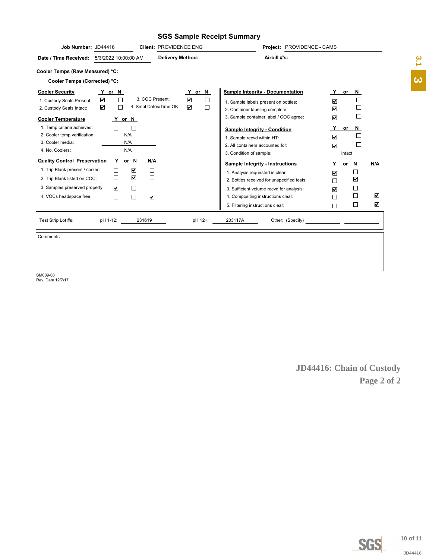## **SGS Sample Receipt Summary**

| Job Number: JD44416<br>Client: PROVIDENCE ENG                                                                                                                                                                                        | Project: PROVIDENCE - CAMS                                                                                                  |                                                 |
|--------------------------------------------------------------------------------------------------------------------------------------------------------------------------------------------------------------------------------------|-----------------------------------------------------------------------------------------------------------------------------|-------------------------------------------------|
| <b>Delivery Method:</b><br>Date / Time Received: 5/3/2022 10:00:00 AM                                                                                                                                                                | Airbill #'s:                                                                                                                | $\frac{2}{3}$                                   |
| Cooler Temps (Raw Measured) °C:                                                                                                                                                                                                      |                                                                                                                             |                                                 |
| Cooler Temps (Corrected) °C:                                                                                                                                                                                                         |                                                                                                                             | $\boldsymbol{\omega}$                           |
| <b>Cooler Security</b><br><u>Y</u> or N                                                                                                                                                                                              | <b>Sample Integrity - Documentation</b><br>Y or N<br>Y                                                                      | or N                                            |
| $\overline{\textbf{v}}$<br>$\overline{\textbf{v}}$<br>3. COC Present:<br>$\Box$<br>1. Custody Seals Present:<br>$\color{red}\blacktriangledown$<br>$\overline{\mathbf{v}}$<br>4. Smpl Dates/Time OK<br>□<br>2. Custody Seals Intact: | $\Box$<br>$\overline{\mathbf{v}}$<br>1. Sample labels present on bottles:<br>$\Box$<br>☑<br>2. Container labeling complete: | $\Box$<br>$\Box$                                |
| <b>Cooler Temperature</b><br><u>Y</u> or N                                                                                                                                                                                           | 3. Sample container label / COC agree:<br>$\overline{\mathbf{v}}$                                                           | $\Box$                                          |
| 1. Temp criteria achieved:<br>$\Box$<br>$\Box$<br>2. Cooler temp verification:<br>N/A                                                                                                                                                | <u>_Y_</u><br><b>Sample Integrity - Condition</b><br>$\boxed{\blacktriangledown}$<br>1. Sample recvd within HT:             | or $N$<br>$\Box$                                |
| N/A<br>3. Cooler media:<br>4. No. Coolers:<br>N/A                                                                                                                                                                                    | 2. All containers accounted for:<br>$\overline{\mathbf{v}}$<br>3. Condition of sample:                                      | $\hfill\square$<br>Intact                       |
| <b>Quality Control Preservation</b><br>Y or N<br><u>N/A</u>                                                                                                                                                                          | <b>Sample Integrity - Instructions</b>                                                                                      | Y or N<br>N/A                                   |
| 1. Trip Blank present / cooler:<br>$\color{red}\blacktriangledown$<br>$\Box$<br>$\Box$                                                                                                                                               | 1. Analysis requested is clear:<br>$\color{red}\blacktriangledown$                                                          | $\Box$                                          |
| $\color{red}\blacktriangledown$<br>$\Box$<br>$\Box$<br>2. Trip Blank listed on COC:                                                                                                                                                  | 2. Bottles received for unspecified tests<br>$\Box$                                                                         | $\color{red}\blacktriangledown$                 |
| 3. Samples preserved properly:<br>$\blacktriangledown$<br>$\Box$<br>$\Box$<br>$\color{red}\blacktriangledown$<br>4. VOCs headspace free:<br>$\Box$                                                                                   | 3. Sufficient volume recvd for analysis:<br>$\overline{\mathbf{v}}$<br>4. Compositing instructions clear:<br>$\Box$         | $\Box$<br>$\Box$<br>$\blacktriangledown$        |
|                                                                                                                                                                                                                                      | 5. Filtering instructions clear:<br>$\Box$                                                                                  | $\Box$<br>$\blacktriangledown$                  |
| 231619<br>Test Strip Lot #s:<br>pH 1-12:                                                                                                                                                                                             | pH 12+:<br>203117A                                                                                                          |                                                 |
| Comments                                                                                                                                                                                                                             |                                                                                                                             |                                                 |
| SM089-03<br>Rev. Date 12/7/17                                                                                                                                                                                                        |                                                                                                                             | <b>JD44416: Chain of Custody</b><br>Page 2 of 2 |
|                                                                                                                                                                                                                                      |                                                                                                                             | 10 of 11<br><b>SGS</b>                          |
|                                                                                                                                                                                                                                      |                                                                                                                             | JD44416                                         |